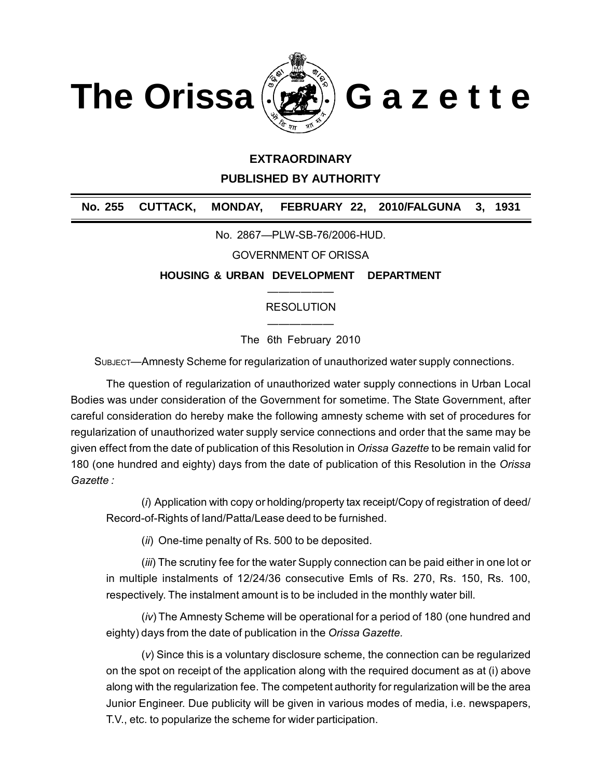

## **EXTRAORDINARY**

**PUBLISHED BY AUTHORITY**

**No. 255 CUTTACK, MONDAY, FEBRUARY 22, 2010/FALGUNA 3, 1931**

No. 2867—PLW-SB-76/2006-HUD.

GOVERNMENT OF ORISSA

**HOUSING & URBAN DEVELOPMENT DEPARTMENT**

## —————— RESOLUTION

—————— The 6th February 2010

SUBJECT—Amnesty Scheme for regularization of unauthorized water supply connections.

The question of regularization of unauthorized water supply connections in Urban Local Bodies was under consideration of the Government for sometime. The State Government, after careful consideration do hereby make the following amnesty scheme with set of procedures for regularization of unauthorized water supply service connections and order that the same may be given effect from the date of publication of this Resolution in *Orissa Gazette* to be remain valid for 180 (one hundred and eighty) days from the date of publication of this Resolution in the *Orissa Gazette :*

(*i*) Application with copy or holding/property tax receipt/Copy of registration of deed/ Record-of-Rights of land/Patta/Lease deed to be furnished.

(*ii*) One-time penalty of Rs. 500 to be deposited.

(*iii*) The scrutiny fee for the water Supply connection can be paid either in one lot or in multiple instalments of 12/24/36 consecutive Emls of Rs. 270, Rs. 150, Rs. 100, respectively. The instalment amount is to be included in the monthly water bill.

(*iv*) The Amnesty Scheme will be operational for a period of 180 (one hundred and eighty) days from the date of publication in the *Orissa Gazette.*

(*v*) Since this is a voluntary disclosure scheme, the connection can be regularized on the spot on receipt of the application along with the required document as at (i) above along with the regularization fee. The competent authority for regularization will be the area Junior Engineer. Due publicity will be given in various modes of media, i.e. newspapers, T.V., etc. to popularize the scheme for wider participation.